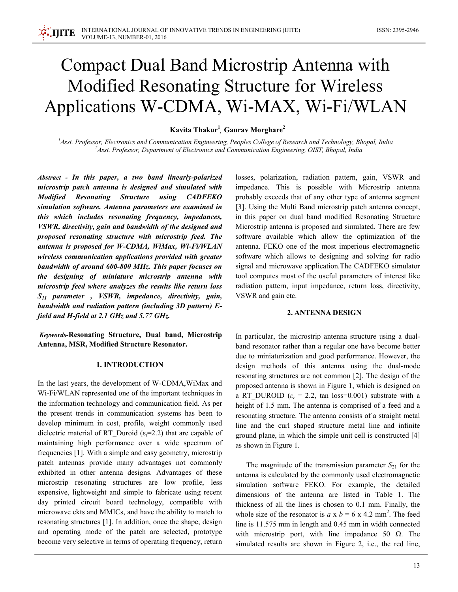# **Compact Dual Band Microstrip Antenna with** Modified Resonating Structure for Wireless Applications W-CDMA, Wi-MAX, Wi-Fi/WLAN

Kavita Thakur<sup>1</sup> Gaurav Morghare<sup>2</sup>

 ${}^{1}$ Asst. Professor, Electronics and Communication Engineering, Peoples College of Research and Technology, Bhopal, India <sup>2</sup>Asst. Professor, Department of Electronics and Communication Engineering, OIST, Bhopal, India

Abstract - In this paper, a two band linearly-polarized microstrip patch antenna is designed and simulated with **Modified Resonating Structure** using **CADFEKO** simulation software. Antenna parameters are examined in this which includes resonating frequency, impedances, VSWR, directivity, gain and bandwidth of the designed and proposed resonating structure with microstrip feed. The antenna is proposed for W-CDMA, WiMax, Wi-Fi/WLAN wireless communication applications provided with greater bandwidth of around 600-800 MHz. This paper focuses on the designing of miniature microstrip antenna with microstrip feed where analyzes the results like return loss  $S_{11}$  parameter, VSWR, impedance, directivity, gain, bandwidth and radiation pattern (including 3D pattern) Efield and H-field at 2.1 GHz and 5.77 GHz.

Keywords-Resonating Structure, Dual band, Microstrip Antenna, MSR, Modified Structure Resonator.

#### **1. INTRODUCTION**

In the last years, the development of W-CDMA, WiMax and Wi-Fi/WLAN represented one of the important techniques in the information technology and communication field. As per the present trends in communication systems has been to develop minimum in cost, profile, weight commonly used dielectric material of RT Duroid ( $\varepsilon$ <sub>r</sub>=2.2) that are capable of maintaining high performance over a wide spectrum of frequencies [1]. With a simple and easy geometry, microstrip patch antennas provide many advantages not commonly exhibited in other antenna designs. Advantages of these microstrip resonating structures are low profile, less expensive, lightweight and simple to fabricate using recent day printed circuit board technology, compatible with microwave ckts and MMICs, and have the ability to match to resonating structures [1]. In addition, once the shape, design and operating mode of the patch are selected, prototype become very selective in terms of operating frequency, return

losses, polarization, radiation pattern, gain, VSWR and impedance. This is possible with Microstrip antenna probably exceeds that of any other type of antenna segment [3]. Using the Multi Band microstrip patch antenna concept, in this paper on dual band modified Resonating Structure Microstrip antenna is proposed and simulated. There are few software available which allow the optimization of the antenna. FEKO one of the most imperious electromagnetic software which allows to designing and solving for radio signal and microwave application. The CADFEKO simulator tool computes most of the useful parameters of interest like radiation pattern, input impedance, return loss, directivity, VSWR and gain etc.

# **2. ANTENNA DESIGN**

In particular, the microstrip antenna structure using a dualband resonator rather than a regular one have become better due to miniaturization and good performance. However, the design methods of this antenna using the dual-mode resonating structures are not common [2]. The design of the proposed antenna is shown in Figure 1, which is designed on a RT DUROID ( $\varepsilon_r$  = 2.2, tan loss=0.001) substrate with a height of 1.5 mm. The antenna is comprised of a feed and a resonating structure. The antenna consists of a straight metal line and the curl shaped structure metal line and infinite ground plane, in which the simple unit cell is constructed [4] as shown in Figure 1.

The magnitude of the transmission parameter  $S_{21}$  for the antenna is calculated by the commonly used electromagnetic simulation software FEKO. For example, the detailed dimensions of the antenna are listed in Table 1. The thickness of all the lines is chosen to 0.1 mm. Finally, the whole size of the resonator is  $a \times b = 6 \times 4.2$  mm<sup>2</sup>. The feed line is 11.575 mm in length and 0.45 mm in width connected with microstrip port, with line impedance 50  $\Omega$ . The simulated results are shown in Figure 2, i.e., the red line,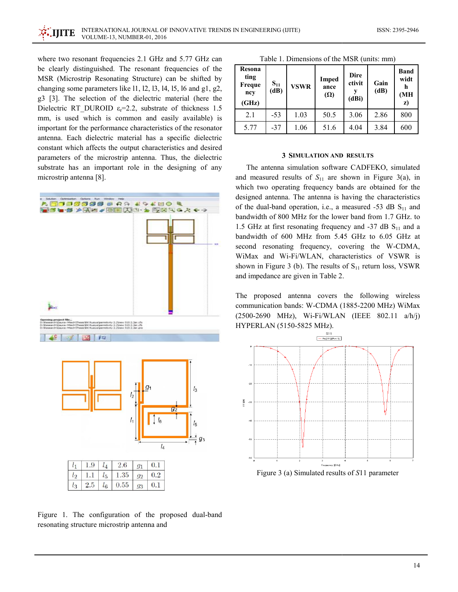where two resonant frequencies 2.1 GHz and 5.77 GHz can be clearly distinguished. The resonant frequencies of the MSR (Microstrip Resonating Structure) can be shifted by changing some parameters like  $11$ ,  $12$ ,  $13$ ,  $14$ ,  $15$ ,  $16$  and  $g1$ ,  $g2$ , g3 [3]. The selection of the dielectric material (here the Dielectric RT DUROID  $\varepsilon = 2.2$ , substrate of thickness 1.5 mm, is used which is common and easily available) is important for the performance characteristics of the resonator antenna. Each dielectric material has a specific dielectric constant which affects the output characteristics and desired parameters of the microstrip antenna. Thus, the dielectric substrate has an important role in the designing of any microstrip antenna [8].



Figure 1. The configuration of the proposed dual-band resonating structure microstrip antenna and

| Resona<br>ting<br><b>Freque</b><br>ncy<br>(GHz) | $S_{11}$<br>(dB) | <b>VSWR</b> | Imped<br>ance<br>$(\Omega)$ | <b>Dire</b><br>ctivit<br>(dBi) | Gain<br>(dB) | Band<br>widt<br>h<br>(MH<br>z) |
|-------------------------------------------------|------------------|-------------|-----------------------------|--------------------------------|--------------|--------------------------------|
| 2.1                                             | $-53$            | 1.03        | 50.5                        | 3.06                           | 2.86         | 800                            |
| 5.77                                            | $-37$            | 1.06        | 51.6                        | 4.04                           | 3.84         | 600                            |

#### **3 SIMULATION AND RESULTS**

The antenna simulation software CADFEKO, simulated and measured results of  $S_{11}$  are shown in Figure 3(a), in which two operating frequency bands are obtained for the designed antenna. The antenna is having the characteristics of the dual-band operation, i.e., a measured -53 dB  $S_{11}$  and bandwidth of 800 MHz for the lower band from 1.7 GHz. to 1.5 GHz at first resonating frequency and -37 dB  $S_{11}$  and a bandwidth of 600 MHz from 5.45 GHz to 6.05 GHz at second resonating frequency, covering the W-CDMA, WiMax and Wi-Fi/WLAN, characteristics of VSWR is shown in Figure 3 (b). The results of  $S_{11}$  return loss, VSWR and impedance are given in Table 2.

The proposed antenna covers the following wireless communication bands: W-CDMA (1885-2200 MHz) WiMax (2500-2690 MHz), Wi-Fi/WLAN (IEEE 802.11 a/h/j) HYPERLAN (5150-5825 MHz).



Figure 3 (a) Simulated results of S11 parameter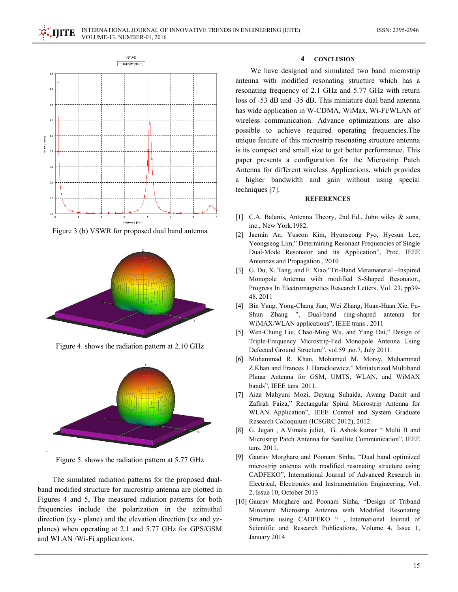

Figure 3 (b) VSWR for proposed dual band antenna



Figure 4. shows the radiation pattern at 2.10 GHz



Figure 5. shows the radiation pattern at 5.77 GHz

The simulated radiation patterns for the proposed dualband modified structure for microstrip antenna are plotted in Figures 4 and 5, The measured radiation patterns for both frequencies include the polarization in the azimuthal direction (xy - plane) and the elevation direction (xz and yzplanes) when operating at 2.1 and 5.77 GHz for GPS/GSM and WLAN/Wi-Fi applications.

#### $\overline{\mathbf{4}}$ **CONCLUSION**

We have designed and simulated two band microstrip antenna with modified resonating structure which has a resonating frequency of 2.1 GHz and 5.77 GHz with return loss of -53 dB and -35 dB. This miniature dual band antenna has wide application in W-CDMA, WiMax, Wi-Fi/WLAN of wireless communication. Advance optimizations are also possible to achieve required operating frequencies. The unique feature of this microstrip resonating structure antenna is its compact and small size to get better performance. This paper presents a configuration for the Microstrip Patch Antenna for different wireless Applications, which provides a higher bandwidth and gain without using special techniques [7].

### **REFERENCES**

- [1] C.A. Balanis, Antenna Theory, 2nd Ed., John wiley & sons, inc., New York.1982.
- [2] Jaemin An, Yuseon Kim, Hyunseong Pyo, Hyesun Lee, Yeongseog Lim," Determining Resonant Frequencies of Single Dual-Mode Resonator and its Application", Proc. IEEE Antennas and Propagation, 2010
- [3] G. Du, X. Tang, and F. Xiao,"Tri-Band Metamaterial Inspired Monopole Antenna with modified S-Shaped Resonator., Progress In Electromagnetics Research Letters, Vol. 23, pp39-48, 2011
- Bin Yang, Yong-Chang Jiao, Wei Zhang, Huan-Huan Xie, Fu- $\lceil 4 \rceil$ Shun Zhang ", Dual-band ring-shaped antenna for WiMAX/WLAN applications", IEEE trans. 2011
- [5] Wen-Chung Liu, Chao-Ming Wu, and Yang Dai," Design of Triple-Frequency Microstrip-Fed Monopole Antenna Using Defected Ground Structure", vol.59 ,no.7, July 2011.
- [6] Muhammad R. Khan, Mohamed M. Morsy, Muhammad Z.Khan and Frances J. Harackiewicz." Miniaturized Multiband Planar Antenna for GSM, UMTS, WLAN, and WiMAX bands", IEEE tans. 2011.
- [7] Aiza Mahyuni Mozi, Dayang Suhaida, Awang Damit and Zafirah Faiza," Rectangular Spiral Microstrip Antenna for WLAN Application", IEEE Control and System Graduate Research Colloquium (ICSGRC 2012), 2012.
- [8] G. Jegan, A.Vimala juliet, G. Ashok kumar " Multi B and Microstrip Patch Antenna for Satellite Communication", IEEE tans. 2011.
- [9] Gaurav Morghare and Poonam Sinha, "Dual band optimized microstrip antenna with modified resonating structure using CADFEKO", International Journal of Advanced Research in Electrical, Electronics and Instrumentation Engineering, Vol. 2, Issue 10, October 2013
- [10] Gaurav Morghare and Poonam Sinha, "Design of Triband Miniature Microstrip Antenna with Modified Resonating Structure using CADFEKO ", International Journal of Scientific and Research Publications, Volume 4, Issue 1, January 2014